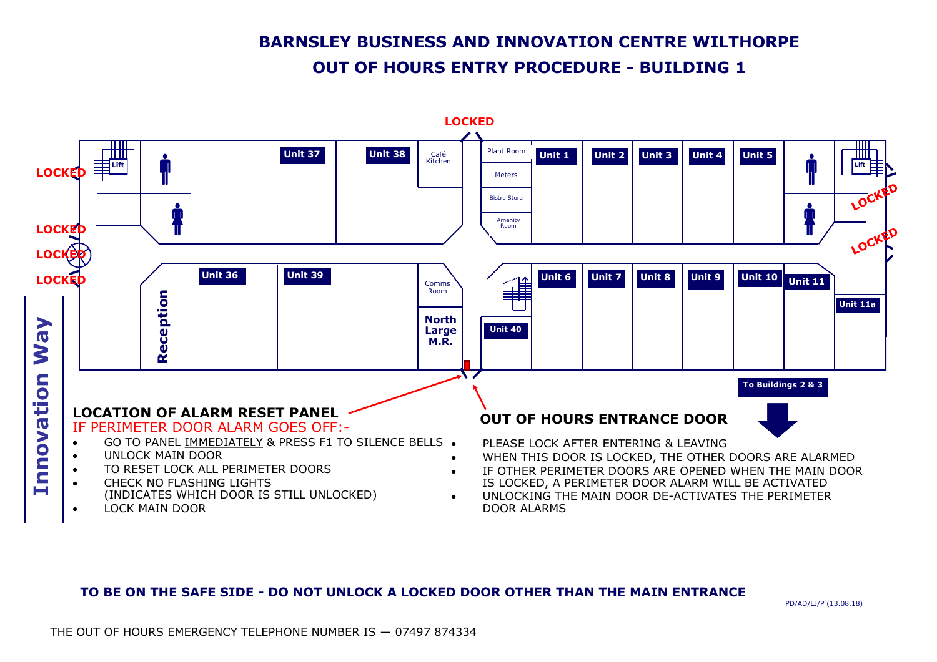# **BARNSLEY BUSINESS AND INNOVATION CENTRE WILTHORPE OUT OF HOURS ENTRY PROCEDURE - BUILDING 1**



#### **TO BE ON THE SAFE SIDE - DO NOT UNLOCK A LOCKED DOOR OTHER THAN THE MAIN ENTRANCE**

PD/AD/LJ/P (13.08.18)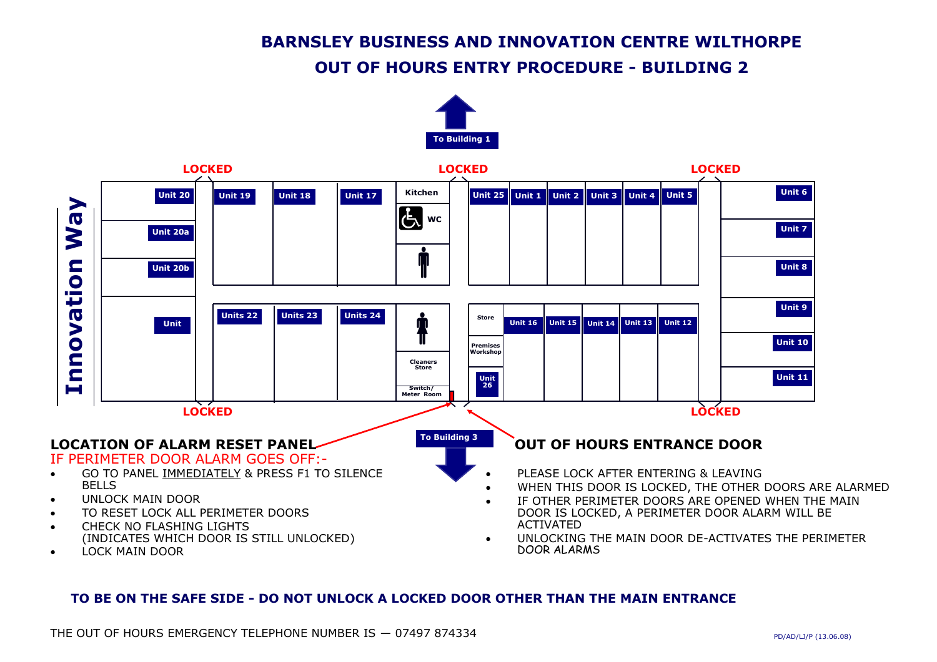# **BARNSLEY BUSINESS AND INNOVATION CENTRE WILTHORPE**

## **OUT OF HOURS ENTRY PROCEDURE - BUILDING 2**





#### **TO BE ON THE SAFE SIDE - DO NOT UNLOCK A LOCKED DOOR OTHER THAN THE MAIN ENTRANCE**